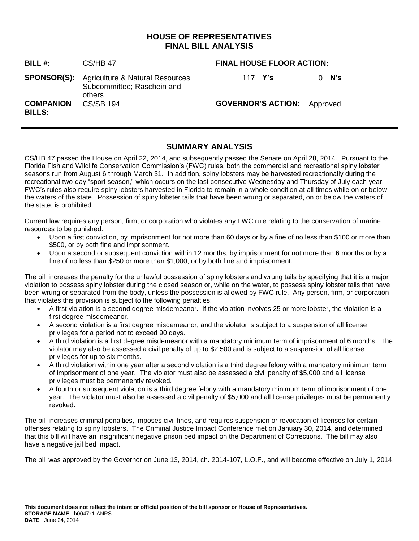## **HOUSE OF REPRESENTATIVES FINAL BILL ANALYSIS**

| BILL #:                           | <b>CS/HB 47</b>                                                                            | <b>FINAL HOUSE FLOOR ACTION:</b>   |         |
|-----------------------------------|--------------------------------------------------------------------------------------------|------------------------------------|---------|
|                                   | <b>SPONSOR(S):</b> Agriculture & Natural Resources<br>Subcommittee; Raschein and<br>others | 117 Y's                            | $0$ N's |
| <b>COMPANION</b><br><b>BILLS:</b> | <b>CS/SB 194</b>                                                                           | <b>GOVERNOR'S ACTION:</b> Approved |         |

# **SUMMARY ANALYSIS**

CS/HB 47 passed the House on April 22, 2014, and subsequently passed the Senate on April 28, 2014. Pursuant to the Florida Fish and Wildlife Conservation Commission's (FWC) rules, both the commercial and recreational spiny lobster seasons run from August 6 through March 31. In addition, spiny lobsters may be harvested recreationally during the recreational two-day "sport season," which occurs on the last consecutive Wednesday and Thursday of July each year. FWC's rules also require spiny lobsters harvested in Florida to remain in a whole condition at all times while on or below the waters of the state. Possession of spiny lobster tails that have been wrung or separated, on or below the waters of the state, is prohibited.

Current law requires any person, firm, or corporation who violates any FWC rule relating to the conservation of marine resources to be punished:

- Upon a first conviction, by imprisonment for not more than 60 days or by a fine of no less than \$100 or more than \$500, or by both fine and imprisonment.
- Upon a second or subsequent conviction within 12 months, by imprisonment for not more than 6 months or by a fine of no less than \$250 or more than \$1,000, or by both fine and imprisonment.

The bill increases the penalty for the unlawful possession of spiny lobsters and wrung tails by specifying that it is a major violation to possess spiny lobster during the closed season or, while on the water, to possess spiny lobster tails that have been wrung or separated from the body, unless the possession is allowed by FWC rule. Any person, firm, or corporation that violates this provision is subject to the following penalties:

- A first violation is a second degree misdemeanor. If the violation involves 25 or more lobster, the violation is a first degree misdemeanor.
- A second violation is a first degree misdemeanor, and the violator is subject to a suspension of all license privileges for a period not to exceed 90 days.
- A third violation is a first degree misdemeanor with a mandatory minimum term of imprisonment of 6 months. The violator may also be assessed a civil penalty of up to \$2,500 and is subject to a suspension of all license privileges for up to six months.
- A third violation within one year after a second violation is a third degree felony with a mandatory minimum term of imprisonment of one year. The violator must also be assessed a civil penalty of \$5,000 and all license privileges must be permanently revoked.
- A fourth or subsequent violation is a third degree felony with a mandatory minimum term of imprisonment of one year. The violator must also be assessed a civil penalty of \$5,000 and all license privileges must be permanently revoked.

The bill increases criminal penalties, imposes civil fines, and requires suspension or revocation of licenses for certain offenses relating to spiny lobsters. The Criminal Justice Impact Conference met on January 30, 2014, and determined that this bill will have an insignificant negative prison bed impact on the Department of Corrections. The bill may also have a negative jail bed impact.

The bill was approved by the Governor on June 13, 2014, ch. 2014-107, L.O.F., and will become effective on July 1, 2014.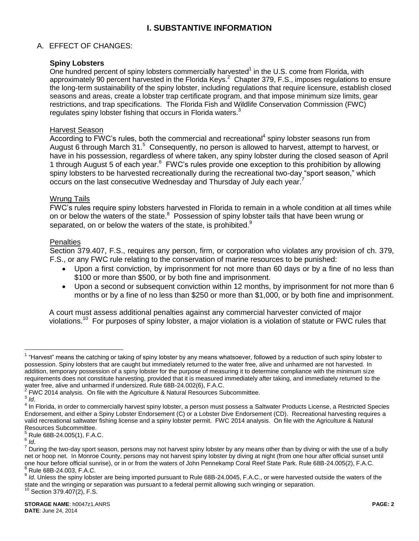# **I. SUBSTANTIVE INFORMATION**

## A. EFFECT OF CHANGES:

### **Spiny Lobsters**

One hundred percent of spiny lobsters commercially harvested $<sup>1</sup>$  in the U.S. come from Florida, with</sup> approximately 90 percent harvested in the Florida Keys.<sup>2</sup> Chapter 379, F.S., imposes regulations to ensure the long-term sustainability of the spiny lobster, including regulations that require licensure, establish closed seasons and areas, create a lobster trap certificate program, and that impose minimum size limits, gear restrictions, and trap specifications. The Florida Fish and Wildlife Conservation Commission (FWC) regulates spiny lobster fishing that occurs in Florida waters.<sup>3</sup>

#### Harvest Season

 $\overline{\text{According to FWC}}$ 's rules, both the commercial and recreational<sup>4</sup> spiny lobster seasons run from August 6 through March 31.<sup>5</sup> Consequently, no person is allowed to harvest, attempt to harvest, or have in his possession, regardless of where taken, any spiny lobster during the closed season of April 1 through August 5 of each year. <sup>6</sup> FWC's rules provide one exception to this prohibition by allowing spiny lobsters to be harvested recreationally during the recreational two-day "sport season," which occurs on the last consecutive Wednesday and Thursday of July each year.<sup>7</sup>

#### Wrung Tails

FWC's rules require spiny lobsters harvested in Florida to remain in a whole condition at all times while on or below the waters of the state.<sup>8</sup> Possession of spiny lobster tails that have been wrung or separated, on or below the waters of the state, is prohibited.<sup>9</sup>

### **Penalties**

Section 379.407, F.S., requires any person, firm, or corporation who violates any provision of ch. 379, F.S., or any FWC rule relating to the conservation of marine resources to be punished:

- Upon a first conviction, by imprisonment for not more than 60 days or by a fine of no less than \$100 or more than \$500, or by both fine and imprisonment.
- Upon a second or subsequent conviction within 12 months, by imprisonment for not more than 6 months or by a fine of no less than \$250 or more than \$1,000, or by both fine and imprisonment.

A court must assess additional penalties against any commercial harvester convicted of major violations.<sup>10</sup> For purposes of spiny lobster, a major violation is a violation of statute or FWC rules that

 $\overline{a}$ 

<sup>&</sup>lt;sup>1</sup> "Harvest" means the catching or taking of spiny lobster by any means whatsoever, followed by a reduction of such spiny lobster to possession. Spiny lobsters that are caught but immediately returned to the water free, alive and unharmed are not harvested. In addition, temporary possession of a spiny lobster for the purpose of measuring it to determine compliance with the minimum size requirements does not constitute harvesting, provided that it is measured immediately after taking, and immediately returned to the water free, alive and unharmed if undersized. Rule 68B-24.002(6), F.A.C.

 $2$  FWC 2014 analysis. On file with the Agriculture & Natural Resources Subcommittee.

<sup>3</sup> *Id*.

<sup>&</sup>lt;sup>4</sup> In Florida, in order to commercially harvest spiny lobster, a person must possess a Saltwater Products License, a Restricted Species Endorsement, and either a Spiny Lobster Endorsement (C) or a Lobster Dive Endorsement (CD). Recreational harvesting requires a valid recreational saltwater fishing license and a spiny lobster permit. FWC 2014 analysis. On file with the Agriculture & Natural Resources Subcommittee.

 $5$  Rule 68B-24.005(1), F.A.C.

<sup>6</sup> *Id*.

 $^7$  During the two-day sport season, persons may not harvest spiny lobster by any means other than by diving or with the use of a bully net or hoop net. In Monroe County, persons may not harvest spiny lobster by diving at night (from one hour after official sunset until one hour before official sunrise), or in or from the waters of John Pennekamp Coral Reef State Park. Rule 68B-24.005(2), F.A.C. <sup>8</sup> Rule 68B-24.003, F.A.C.

<sup>9</sup> *Id*. Unless the spiny lobster are being imported pursuant to Rule 68B-24.0045, F.A.C., or were harvested outside the waters of the state and the wringing or separation was pursuant to a federal permit allowing such wringing or separation.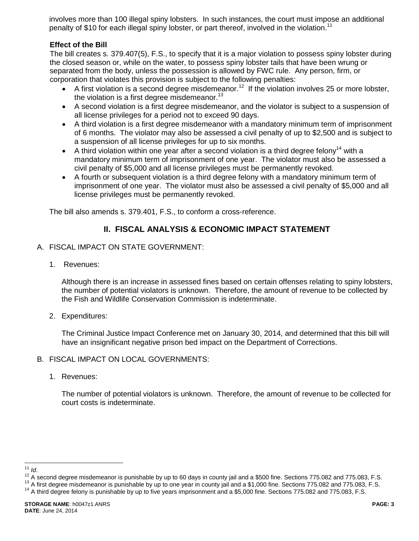involves more than 100 illegal spiny lobsters. In such instances, the court must impose an additional penalty of \$10 for each illegal spiny lobster, or part thereof, involved in the violation.<sup>11</sup>

## **Effect of the Bill**

The bill creates s. 379.407(5), F.S., to specify that it is a major violation to possess spiny lobster during the closed season or, while on the water, to possess spiny lobster tails that have been wrung or separated from the body, unless the possession is allowed by FWC rule. Any person, firm, or corporation that violates this provision is subject to the following penalties:

- A first violation is a second degree misdemeanor.<sup>12</sup> If the violation involves 25 or more lobster, the violation is a first degree misdemeanor.<sup>13</sup>
- A second violation is a first degree misdemeanor, and the violator is subject to a suspension of all license privileges for a period not to exceed 90 days.
- A third violation is a first degree misdemeanor with a mandatory minimum term of imprisonment of 6 months. The violator may also be assessed a civil penalty of up to \$2,500 and is subject to a suspension of all license privileges for up to six months.
- A third violation within one year after a second violation is a third degree felony<sup>14</sup> with a mandatory minimum term of imprisonment of one year. The violator must also be assessed a civil penalty of \$5,000 and all license privileges must be permanently revoked.
- A fourth or subsequent violation is a third degree felony with a mandatory minimum term of imprisonment of one year. The violator must also be assessed a civil penalty of \$5,000 and all license privileges must be permanently revoked.

The bill also amends s. 379.401, F.S., to conform a cross-reference.

# **II. FISCAL ANALYSIS & ECONOMIC IMPACT STATEMENT**

- A. FISCAL IMPACT ON STATE GOVERNMENT:
	- 1. Revenues:

Although there is an increase in assessed fines based on certain offenses relating to spiny lobsters, the number of potential violators is unknown. Therefore, the amount of revenue to be collected by the Fish and Wildlife Conservation Commission is indeterminate.

2. Expenditures:

The Criminal Justice Impact Conference met on January 30, 2014, and determined that this bill will have an insignificant negative prison bed impact on the Department of Corrections.

- B. FISCAL IMPACT ON LOCAL GOVERNMENTS:
	- 1. Revenues:

The number of potential violators is unknown. Therefore, the amount of revenue to be collected for court costs is indeterminate.

 $\overline{a}$ <sup>11</sup> *Id*.

 $12$  A second degree misdemeanor is punishable by up to 60 days in county jail and a \$500 fine. Sections 775.082 and 775.083, F.S.

<sup>&</sup>lt;sup>13</sup> A first degree misdemeanor is punishable by up to one year in county jail and a \$1,000 fine. Sections 775.082 and 775.083, F.S.

<sup>&</sup>lt;sup>14</sup> A third degree felony is punishable by up to five years imprisonment and a \$5,000 fine. Sections 775.082 and 775.083, F.S.